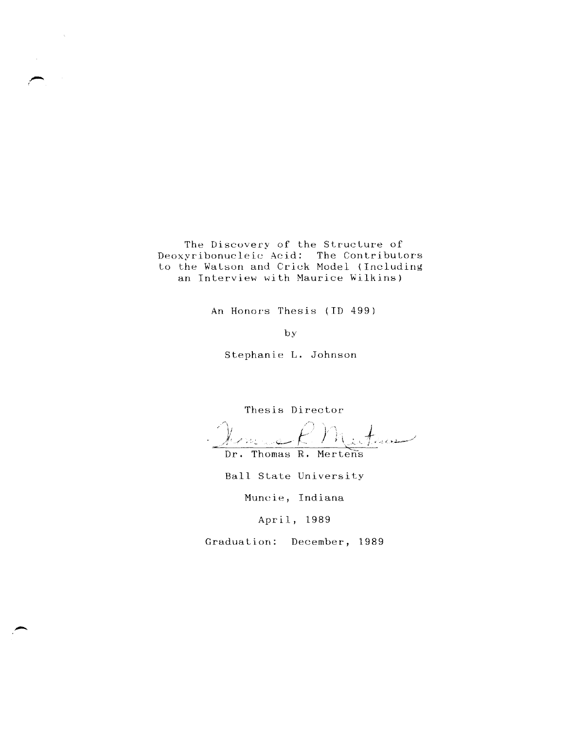The Discovery of the Structure of Deoxyribonucleic Acid: The Contributors to the Watson and Crick Model (Including an Interview with Maurice Wilkins)

An Honors Thesis (10 499)

by

Stephanie L. Johnson

Thesis Director

intran ر<br>سان دارد اولاد

Ball State University

Muncie, Indiana

April, 1989

Graduation: December, 1989

Dr. Thomas R. Mertens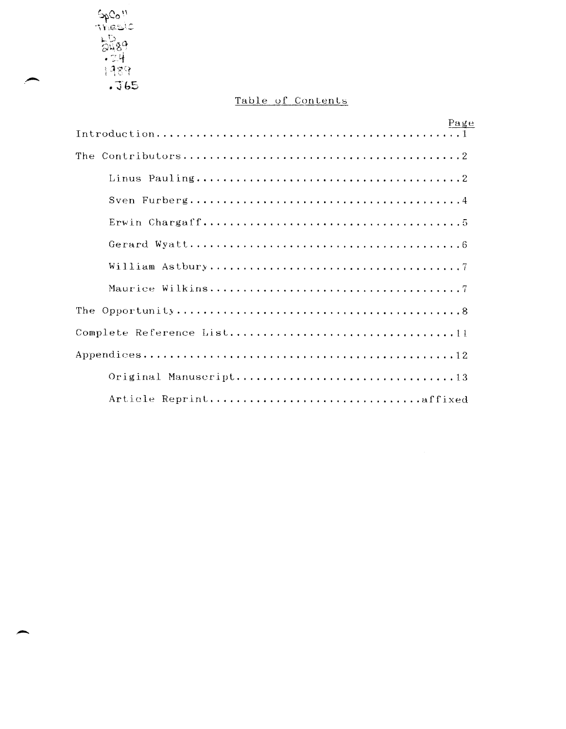Spean<br>Thesic<br>Thesic<br>Thesic<br>Thesic<br>Thesical

# Table of Contents

| Page                   |
|------------------------|
|                        |
|                        |
|                        |
|                        |
|                        |
|                        |
|                        |
|                        |
|                        |
|                        |
|                        |
| Original Manuscript13  |
| Article Reprintaffixed |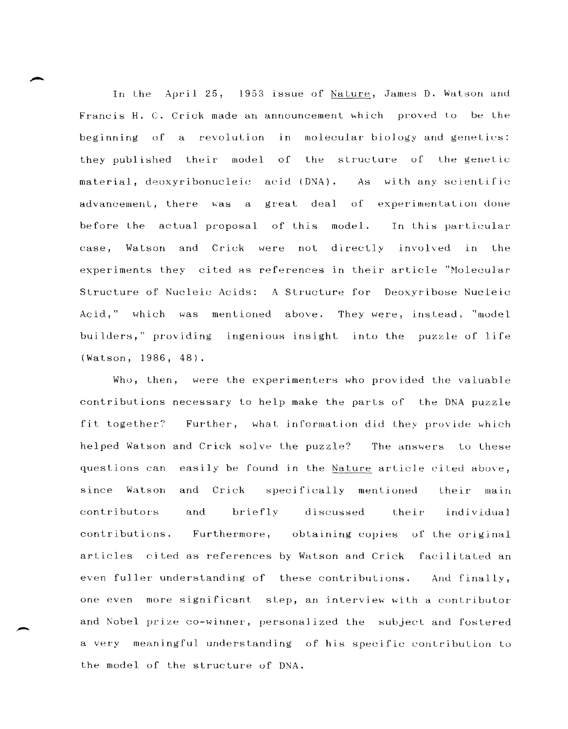In Lhe April 25, 1953 lssue of Nature, James D. Watson and Francis H. C. Crick made an announcement which proved to be the beginning of a revolution in molecular biology and genetics: they published their model of the structure of the genetic material, deoxyribonucleic acid (DNA). As with any scientific advancement, there was a great deal of experimentation-done before the actual proposal of this model. In this particular case, Watson and Crick were not directly involved in the experiments Lhey cited as references in their article "Molecular Structure of Nucleic Acids: A Structure for Deoxyribose Nucleic Acid," which was mentioned above. They were, instead, "model builders," providing ingenious insight into the puzzle of life (Watson, 1986, 48).

Who, then, were the experimenters who provided the valuable contributions necessary to help make the parts of the DNA puzzle fit together? Further, what information did they provide which helped Watson and Crick solve the puzzle? The answers to these questions can easily be found in the Nature article cited above, since Watson and Crick specifically mentioned their main contributors and briefly discussed their individual contributions. discussed Furthermore, obtaining copies of the original articles cited as references by Watson and Crick facilitated an even fuller understanding of these contributions. And finally, one even more significant step, an interview with a contributor and Nobel prize co-winner, personalized the subject and fostered a very meaningful understanding of his specific contribution to the model of the structure of DNA.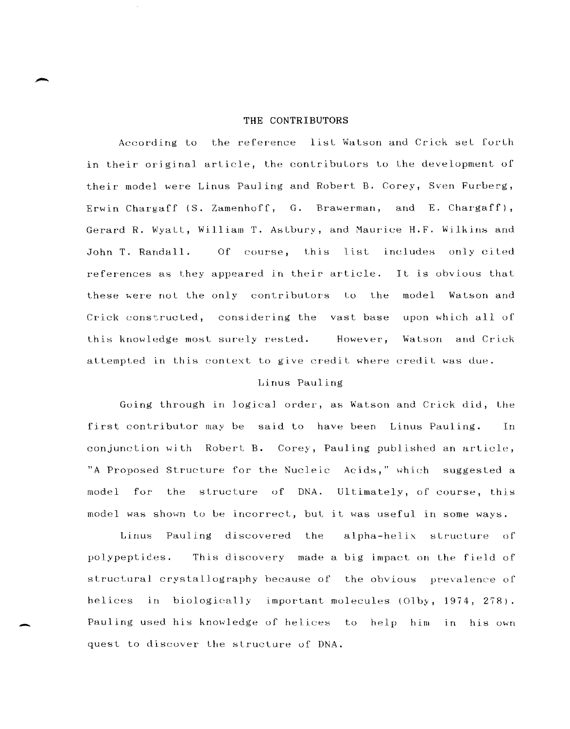#### THE CONTRIBUTORS

According to the reference list Watson and Crick set forth in their original article, the contributors to the development of their model were Linus Pauling and Robert B. Corey, Sven Furberg, Erwin Chargaff (S. Zamenhoff, G. Brawerman, and E. Chargaff), Gerard R. Wyatt, William T. Astbury, and Maurice H.F. Wilkins and Of course, this list includes only cited John T. Randall. references as they appeared in their article. It is obvious that these were not the only contributors to the model Watson and Crick constructed, considering the vast base upon which all of this knowledge most surely rested. However, Watson and Crick attempted in this context to give credit where credit was due.

# Linus Pauling

Going through in logical order, as Watson and Crick did, the first contributor may be said to have been Linus Pauling. In conjunction with Robert B. Corey, Pauling published an article, "A Proposed Structure for the Nucleic Acids," which suggested a  $mode1$ for the structure of DNA. Ultimately, of course, this model was shown to be incorrect, but it was useful in some ways.

alpha-helix structure of Linus Pauling discovered the polypeptides. This discovery made a big impact on the field of structural crystallography because of the obvious prevalence of helices in biologically important molecules (Olby, 1974, 278). Pauling used his knowledge of helices to help him in his own quest to discover the structure of DNA.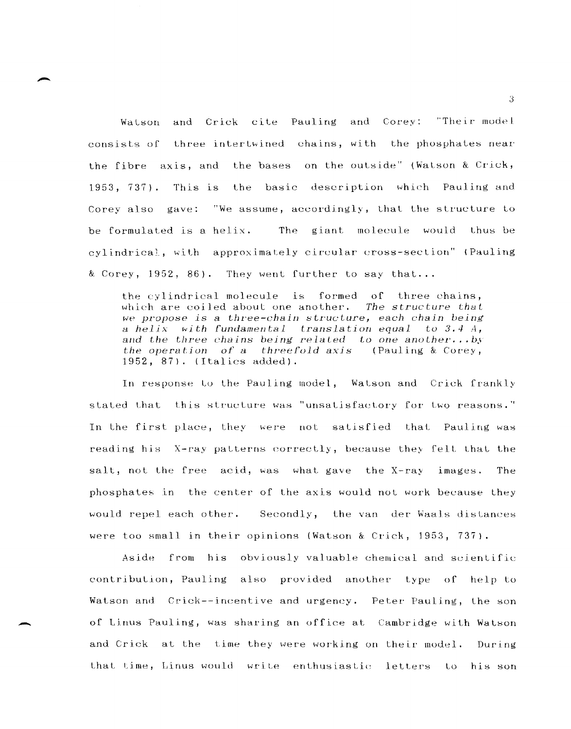Watson and Crick cite Pauling and Corey: "Their model consists of three intertwined chains, with the phosphates near the fibre axis, and the bases on the outside" (Watson & Crick, 1953, 737). This is the basic description which Pauling and Corey also gave: "We assume, accordingly, that the structure to be formulated is a helix. The giant molecule would thus be cylindrical, with approximately circular cross-section" (Pauling & Corey, 1952, 86). They went further to say that. ..

the cylindrical molecule is formed of three chains, which are coiled about one another. The structure that *we propose is* a *three-chain* structure, *each chain being a helix* ~ith *fundamental translation equal tu* 3.4 4, and the three *chains* being related to one another...by the *operatiun of* a *threeFuld* axjs (Pauling & Corey, 1952, 87). (Italics added).

In response to the Pauling model, Watson and Crick frankly stated that this structure was "unsatisfactory for two reasons." In the first place, they were not satisfied that Pauling was reading his X-ray patterns correctly, because they felt that the salt, not the free acid, was what gave the X-ray images. The phosphates in the center of the axis would not work because they would repel each other. Secondly, the van der Waals distances were too small in their opinions (Watson & Crick, 1953, 737).

Aside from his obviously valuable chemical and scientific contribution, Pauling also provided another type of help to Watson and Crick--incentive and urgency. Peter Pauling, the son of Linus Pauling, was sharing an office at Cambridge with Watson and Crick at the time they were working on their model. During that time, Linus would write enthusiastic letters to his son

-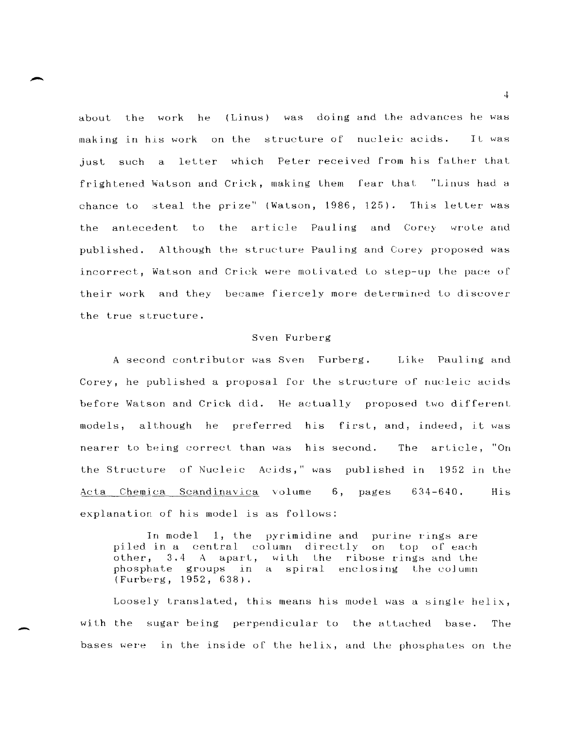about the work he (Linus) was doing and the advances he was making in his work on the structure of nucleic acids. Tt. was just such a letter which Peter received from his father that frightened Watson and Crick, making them fear that "Linus had a chance to steal the prize" (Watson, 1986, 125). This letter was the antecedent to the article Pauling and Corey wrote and published. Although the structure Pauling and Corey proposed was incorrect, Watson and Crick were motivated to step-up the pace of their work and they became fiercely more determined to discover the true structure.

# Sven Furberg

A second contributor was Sven Furberg, Like Pauling and Corey, he published a proposal for the structure of nucleic acids before Watson and Crick did. He actually proposed two different models, although he preferred his first, and, indeed, it was nearer to being correct than was his secund. The article, "On the Structure of Nucleic Acids," was published in 1952 in the Acta Chemica Scandinavica volume 6, pages 634-640. explanation of his model is as follows: His

In model 1, the pyrimidine and purine rings are piled in a central column directly on top of each other, 3.4 A apart, with the ribose rings and the phosphate groups in a spiral enclosing the column (Furberg, 1952, 638).

Loosely translated, this means his model was a single helix, with the sugar being perpendicular to the attached base. The bases were in the inside of the helix, and Lhe phosphates on the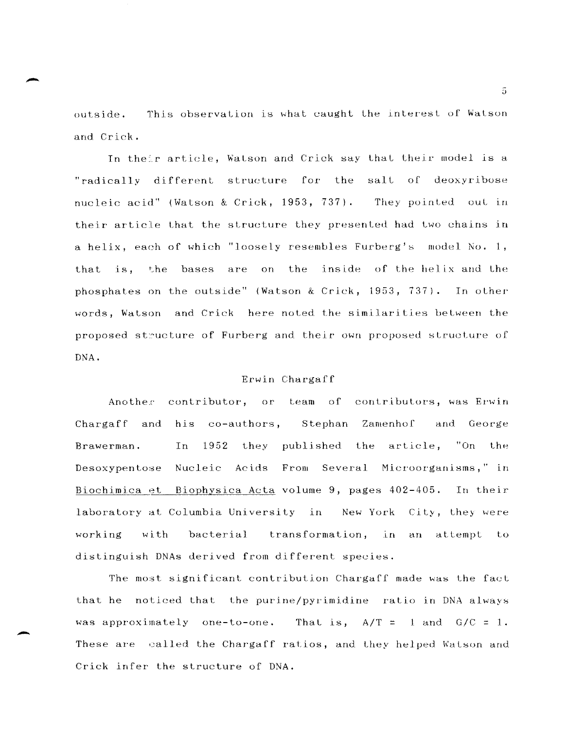outside. This observation is what caught the interest of Watson and Crick.

In their article, Watson and Crick say that their model is a "radically different structure for the salt of deoxyribose nucleic acid" (Watson & Crick, 1953, 737). They pointed out in their article that the structure they presented had two chains in a helix, each of which "loosely resembles Furberg's model No. 1, that is, the bases are on the inside of the helix and the phosphates on the outside" (Watson & Crick, 1953, 737). In other words, Watson and Crick here noted the similarities between the proposed structure of Furberg and their own proposed structure of DNA.

## Erwin Chargaff

Another contributor, or team of contributors, was Erwin Chargaff and his co-authors, Stephan Zamenhof and George Brawerman. In 1952 they published the article, "On the Desoxypentose Nucleic Acids From Several Microorganisms," in Biochimica et Biophysica Acta volume 9, pages 402-405. In their laboratory at Columbia University in New York City, Lhey were working with bacterial transformation, in an attempt to distinguish DNAs derived from different species.

The most significant contribution Chargaff made was the fact that he noticed that the purine/pyrimidine ratio in DNA always was approximately one-to-one. That is,  $A/T = 1$  and  $G/C = 1$ . These are called the Chargaff ratios, and they helped Watson and Crick infer the structure of DNA.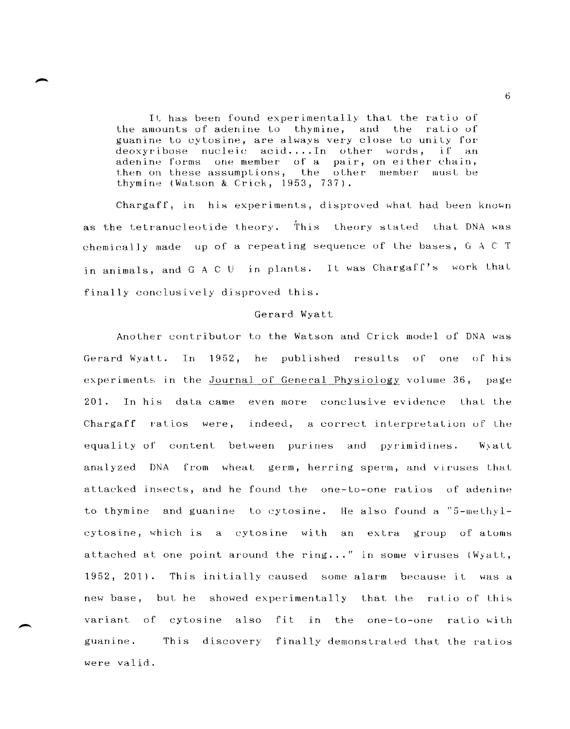It has been found experimentally that the ratio of the amounts of adenine to thymine, and the ratio of guanine to cytosine, are always very close to unity for  $deoxyribose$  nucleic  $acid...In$  other words, if an adenine forms one member of a pair, on either chain, then on these assumptions, the other member must be thymine (Watson & Crick, 1953, 737).

Chargaff, in his experiments, disproved what had been known as the tetranucleotide theory. This theory stated that DNA was chemically made up of a repeating sequence of the bases,  $G \subset A \subset T$ in animals, and G A C U in plants. It was Chargaff's work that finally conclusively disproved this.

#### Gerard Wyatt

Another contributor to the Watson and Crick model of DNA was Gerard Wyatt. In  $1952$ , he published results of one of his experiments in the Journal of General Physiology volume 36, page 201. In his data came even more conclusive evidence that the Chargaff ratios were, indeed, a correct interpretation uf the equality of content between purines and pyrimidines. Wyatt analyzed DNA from wheat germ, herring sperm, and viruses that attacked insects, and he found the one-to-one ratios of adenine to thymine and guanine to cytosine. He also found a " $5$ -methylcytosine, which is a cytosine with an extra group of atoms attached at one point around the ring..." in some viruses (Wyatt, 1952, 201). This initially caused some alarm because it was a new base, but he showed experimentally that the ratio of Lhis variant of cytosine also fit in the one-to-one ratio with guanine. This discovery finally demonstrated that the ratios were valid.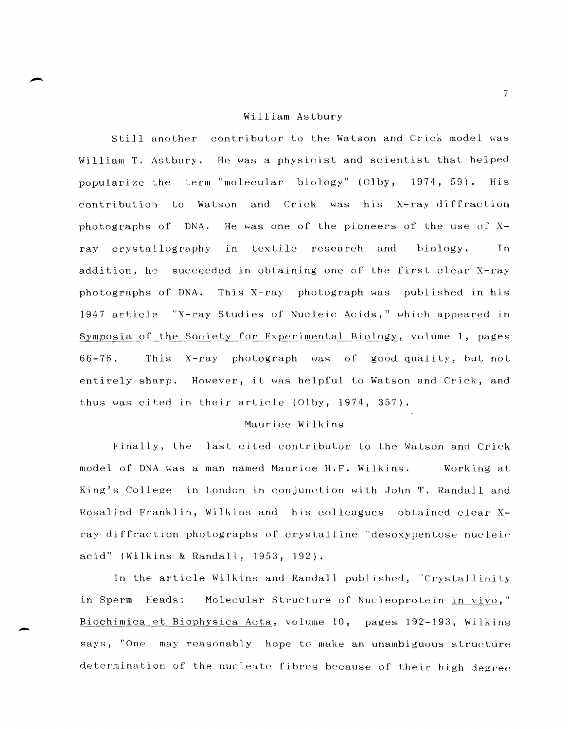#### William Astbury

Still another contributor to the Watson and Crick model was William T. Astbury. He was a physicist and scientist that helped popularize the term "molecular biology" (Olby, 1974, 59). His contribution to Watson and Crick was his X-ray diffraction photographs of DNA. He was one of the pioneers of the use of Xray crystallography in textile research and biology. Tn. addition, he succeeded in obtaining one of the first clear X-ray photographs of DNA. This X-ray photograph was published in his 1947 article "X-ray Studies of Nucleic Acids," which appeared in Symposia of the Society for Experimental Biology, volume 1, pages  $66 - 76$ . This X-ray photograph was of good quality, but not entirely sharp. However, it was helpful to Watson and Crick, and thus was cited in their article (Olby, 1974, 357).

# Maurice Wilkins

Finally, the last cited contributor to the Watson and Crick model of DNA was a man named Maurice H.F. Wilkins. Working at King's College in London in conjunction with John T. Randall and Rosalind Franklin, Wilkins and his colleagues obtained clear Xray diffraction photographs of crystalline "desoxypentose nucleic acid" (Wilkins & Randall, 1953, 192).

In the article Wilkins and Randall published, "Crystallinity in Sperm Heads: Molecular Structure of Nucleoprotein in vivo," Biochimica et Biophysica Acta, volume 10, pages 192-193, Wilkins says, "One may reasonably hope to make an unambiguous structure determination of the nucleate fibres because of their high degree

 $7<sup>1</sup>$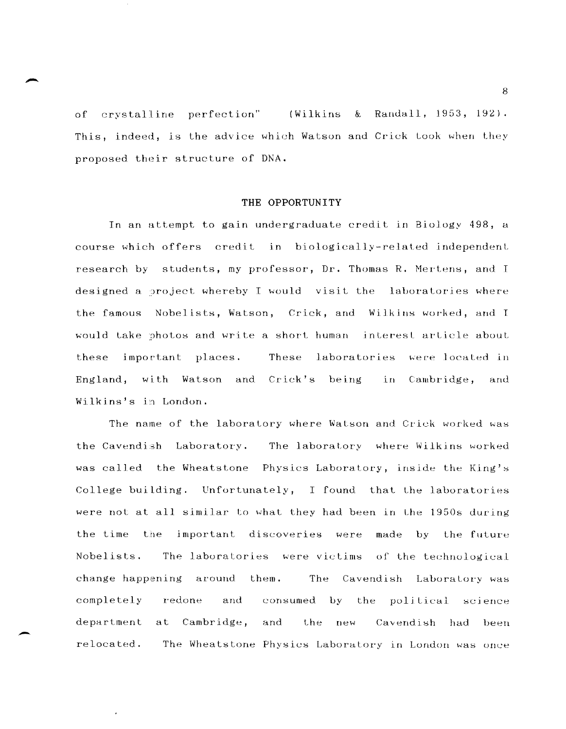of crystalline perfection" & Randall, 1953, 192). This, indeed, is the advice which Watson and Crick took when they proposed their structure of DNA.

## **THE OPPORTUNITY**

In an attempt to gain undergraduate credit in Biology 498, a course which offers credit 1n biologically-related independent research by students, my professor, Dr. Thomas R. Mertens, and I designed a project whereby I would visit the laboratories where the famous Nobelists, Watson, Crick, and Wilkins worked, and I would take photos and write a short human interest article about these important places. These laboratories were located in England, with Watson and Crick's being in Cambridge, and Wilkins's in London.

The name of the laboratory where Watson and Crick worked was the Cavendish Laboratory. The laboratory where Wilkins worked was called the Wheatstone Physics Laboratory, inside the King's College building. Unfortunately, I found that the laboratories were not at all similar to what they had been in the 1950s during the time the jmportant discoveries were made by the future Nobelists. The laboratories were victims of the technological change happening around them. The Cavendish Laboratory was completely redone and consumed by the political science department at Cambridge, and the new Cavendish had been relocated. The Wheatstone Physics Laboratory in London was once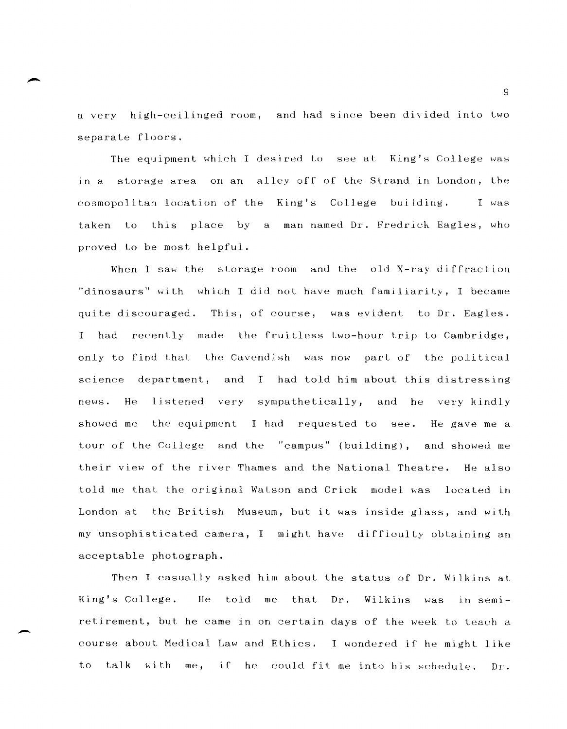a very high-ceilinged room, and had since been divided into two separate floors.

The equipment which I desired to see at King's College was in a storage area on an alley off of the Strand in London, the cosmopolitan location of the King's College building. I was taken to this place by a man-named Dr. Fredrick Eagles, who proved to be most helpful.

When I saw the storage room and the old X-ray diffraction "dinosaurs" with which I did not have much familiarity, I became quite discouraged. This, of course, was evident to Dr. Eagles. <sup>I</sup>had recently made the fruitless two-hour trip Lo Cambridge, only to find that the Cavendish was now part of the political science department, and I had told him about this distressing news. He showed me listened very sympathetically, and he very kindly the equipment I had requested to see. He gave me a tour of the College and the "campus" (building), and showed me their view of the river Thames and the National Theatre. He also told me that the original Watson and Crick model was located in London at the British Museum, but it was inside glass, and with my unsophisticated camera, I might have difficulty obtaining an acceptable photograph.

Then I casually asked him about the status of Dr. Wilkins at King's College. He told me that Dr. Wilkins was in semiretirement, but he came in on certain days of the week to teach a course about Medical Law and Ethics. I wondered if he might like to talk with me, if he could fit me into his schedule. Dr.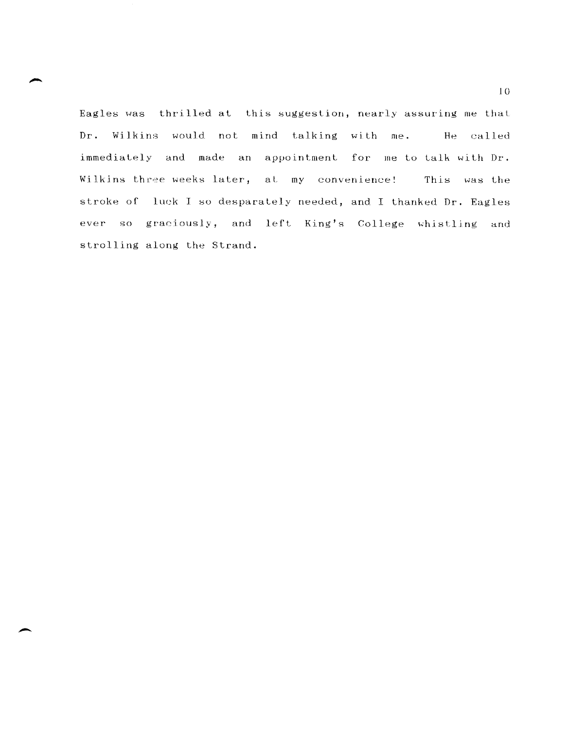Eagles was thrilled at this suggestion, nearly assuring me that Dr. Wilkins would not mind talking with me. He called immediately and made an appointment for me to talk with Dr. Wilkins three weeks later, at my convenience! This was the stroke of luck I so desparately needed, and I thanked Dr. Eagles ever so graciously, and left King's College whistling and strolling along the Strand.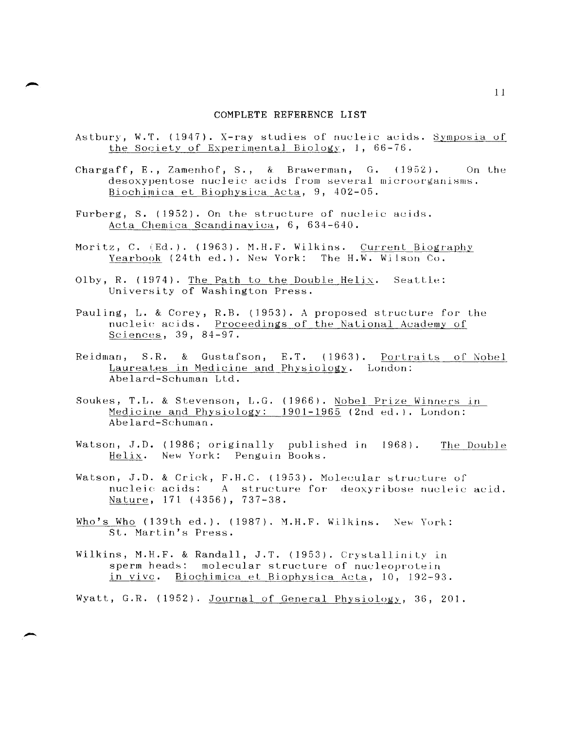#### COMPLETE REFERENCE LIST

- Astbury, W.T. (1947). X-ray studies of nucleic acids. Symposia of the Society of Experimental Biology, 1, 66-76.
- Chargaff, E., Zamenhof, S., & Brawerman, G. (1952). On the desoxypentose nucleic acids from several microorganisms. Biochimica et Biophysica Acta, 9, 402-05.
- Furberg, S. (1952). On the structure of nucleic acids. Acta Chemica Scandinavica, 6, 634-640.
- Moritz, C. (Ed.). (1963). M.H.F. Wilkins. Current Biography Yearbook (24th ed.). New York: The H.W. Wilson Co.
- Olby, R. (1974). The Path to the Double Helix. Seattle: University of Washington Press.
- Pauling, L. & Corey, R.B. (1953). A proposed structure for the nucleic acids. Proceedings of the National Academy of Sciences, 39, 84-97.
- Reidman, S.R. & Gustafson, E.T. (1963). Portraits of Nobel Laureates in Medicine and Physiology. London: Abelard-Schuman Ltd.
- Soukes, T.L. & Stevenson, L.G. (1966). Nobel Prize Winners in Medicine and Physiology: 1901-1965 (2nd ed.). London: Abelard-Schuman.
- Watson, J.D. (1986; originally published in 1968). The Double Helix. New York: Penguin Books.
- Watson, J.D. & Crick, F.H.C. (1953). Molecular structure of nucleic acids: A structure for deoxyribose nucleic acid. Nature, 171 (4356), 737-38.
- Who's Who  $(139th ed.)$ .  $(1987)$ . M.H.F. Wilkins. New York: St. Martin's Press.
- Wilkins, M.H.F. & Randall, J.T. (1953). Crystallinity in sperm heads: molecular structure of nucleoprotein Biochimica et Biophysica Acta, 10, 192-93. in vivc.

Wyatt, G.R. (1952). Journal of General Physiology, 36, 201.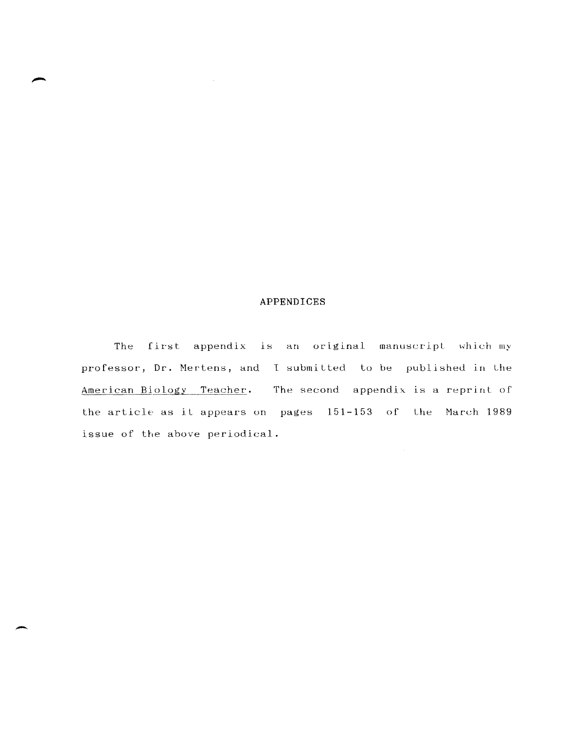# APPENDICES

 $\sim 10^7$ 

The first appendix is an original manuscript which my professor, Dr. Mertens, and I submitted to be published in the American Biology Teacher. The second appendix is a reprint of the article as it appears on pages 151-153 of the March 1989 issue of the above periodical.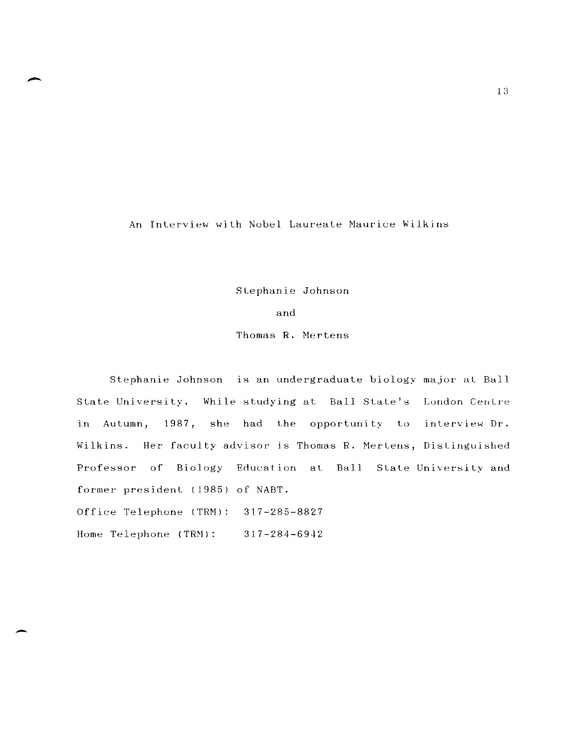An Interview with Nobel Laureate Maurice Wilkins

Stephanie Johnson

and

Thomas R. Mertens

Stephanie Johnson is an undergraduate biology major at Ball State University. While studying at Ball State's London Centre in Autumn, 1987, she had the opportunity to interview Dr. Wilkins. Her faculty advisor is Thomas R. NerLens, Distinguished Professor of Biology Education at Ball State-University and former president (1985) of NABT. Office Telephone (TRM): 317-285-8827

Home Telephone (TRM): 317-284-6942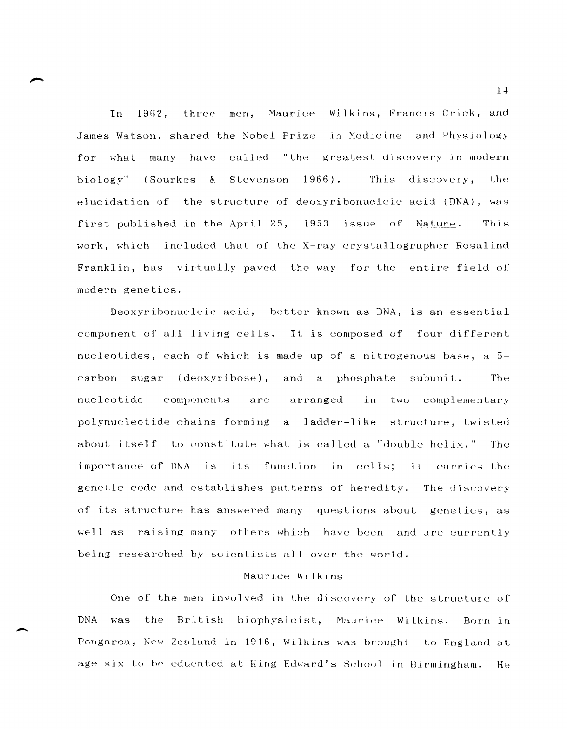In 1962, three men, Maurice Wilkins, Francis Crick, and James Watson, shared the Nobel Prize in Medicine and Physiology for what many have called "the greatest discovery in modern biology" (Sourkes & Stevenson 1966). This discovery, the elucidation of the structure of deoxyribonucleic acid ( $DNA$ ), was first published in the April 25, 1953 issue of Nature. This work, which included that of the X-ray crystallographer Rosalind Franklin, has virtually paved the way for the entire field of modern genetics.

Deoxyribonucleic acid, better known as DNA, is an essential component of all living cells. It is composed of four different nucleotides, each of which is made up of a nitrogenous base,  $a$  5carbon sugar (deoxyribose), and a phosphate subunit. The nucleotide components polynucleotide chains forming a ladder-like structure, twisted arranged in two complementary about itself to constitute what is called a "double helix." The importance of DNA is its function in cells; it carries the genetic code and establishes patterns of heredity. The discovery of its structure has answered many questions about genetics, as well as raising many others which have been and are currently being researched by scientists allover the world.

# Haurice Wilkins

One of the men involved in the discovery of the structure of DNA was the British biophysicist, Maurice Wilkins. Born in Pongaroa, New Zealand in 1916, Wilkins was brought to England at age six to be educated at King Edward's School in Birmingham. He

-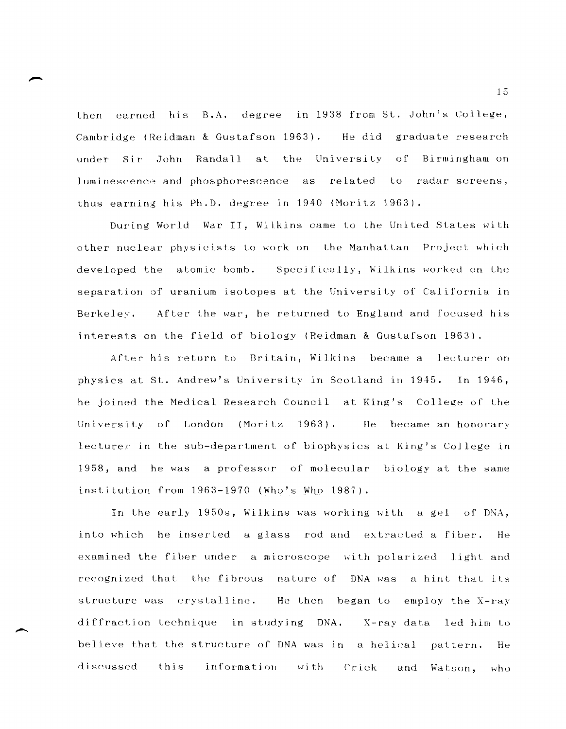then earned his B.A. degree in 1938 from St. John's College, Cambridge (Reidman & Gustafson 1963). He did graduate research under Sir John Randall at the University of Birmingham on luminescence and phosphorescence as related to radar screens, thus earning his Ph.D. degree in 1940 (Moritz 1963).

During World War II, Wilkins came to the United States with other nuclear physicists to work on the Manhattan Project which developed the atomic bomb. Specifically, Wilkins worked on the separation of uranium isotopes at the University of California in Berkeley. After the war, he returned to England and focused his interests on the field of biology (Reidman & Gustafson 1963).

After his return to Britain, Wilkins became a lecturer on physics at St. Andrew's University in Scotland in 1945. In 1946, he joined the Medical Research Council at King's College of the University of London (Moritz 1963). He became an honorary lecturer in the sub-department of biophysics at King's College in 1958, and he was a professor of molecular biology at the same institution from 1963-1970 (Who's Who 1987).

In the early 1950s, Wilkins was working with a gel of DNA, into which he inserted a glass rod and extracted a fiber. He examined the fiber under a microscope with polarized light and recognized that the fibrous nature of DNA was a hint that its structure was crystalline. He then began to employ the X-ray diffraction technique in studying DNA. X-ray data led him to believe that the structure of DNA was in a helical pattern. He discussed this information with Crick  $and$ Watson, who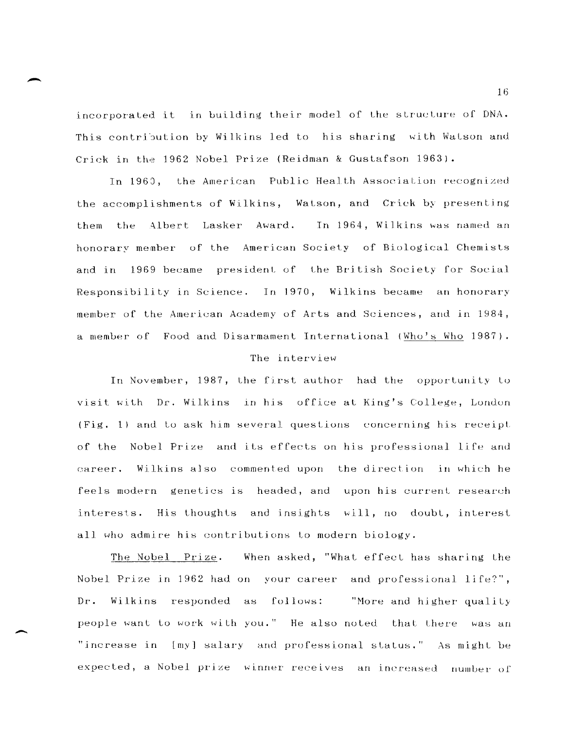incorporated it in building their model of the structure of DNA. This contribution by Wilkins led to his sharing with Watson and Crick in the 1962 Nobel Prize (Reidman & Gustafson 1963).

In 1960, the American Public Health Association recognized the accomplishments of Wilkins, Watson, and Crick by presenting them the Albert Lasker Award. In 1964, Wilkins was named an honorary member of the American Society of Biological Chemists and in 1969 became president of the British Society for Social Responsibility in Science. In 1970, Wilkins became an honorary member of the American Academy of Arts and Sciences, and in 1984, a member of Food and Disarmament International (Who's Who 1987).

# The interview

In November, 1987, the first author had the opportunity to visit with Dr. Wilkins in his office at King's College, London (Fig. 1) and to ask him several questions concerning his receipt of the Nobel Prize and its effects on his professional life and Wilkins also commented upon the direction in which he career. feels modern genetics is headed, and upon his current research interests. His thoughts and insights will, no doubt, interest all who admire his contributions to modern biology.

When asked, "What effect has sharing the The Nobel Prize. Nobel Prize in 1962 had on your career and professional life?",  $Dr.$ Wilkins responded as follows: "More and higher quality people want to work with you." He also noted that there was an "increase in [my] salary and professional status." As might be expected, a Nobel prize winner receives an increased number of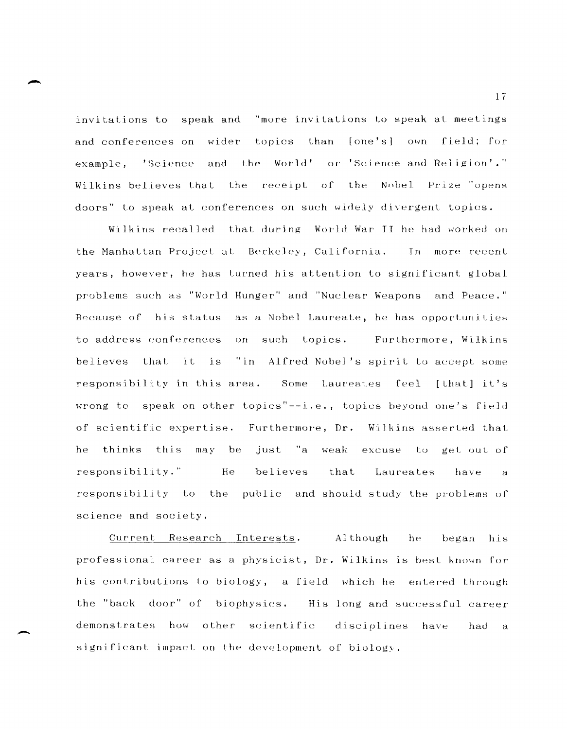invitations to speak and "more invitations to speak at meetings and conferences on wider topics than [one's] own field; for example, 'Science and the World' or 'Science and Religion'." Wilkins believes that the receipt of the Nobel Prize "opens doors" to speak at conferences on such widely divergent topics.

Wilkins recalled that during World War II he had worked on the Manhattan Project at Berkeley, California. In more recent years, however, he has turned his attention to significant global problems such as "World Hunger" and "Nuclear Weapons and Peace." Because of his status as a Nobel Laureate, he has opportunities to address conferences on such topics. Furthermore, Wilkins believes that it is "in Alfred Nobel's spirit to accept some responsibility in this area. Some Laureates feel [that] it's wrong to speak on other topics"--i.e., topics beyond one's field of scientific expertise. Furthermore, Dr. Wilkins asserted that he thinks this may be just "a weak excuse to get out of responsibility." He believes that Laureates have  $\ddot{a}$ responsibility to the public and should study the problems of science and society.

Current Research Interests. Although he began his professional career as a physicist, Dr. Wilkins is best known for his contributions to biology, a field which he entered through the "back door" of biophysics. His long and successful career demonstrates how other scientific disciplines have had a significant impact on the development of biology.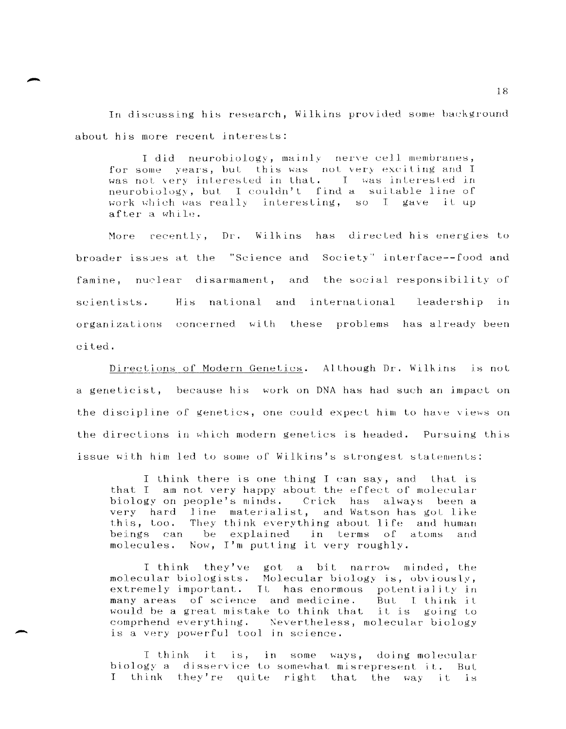In discussing his research, Wilkins provided some background about his more recent interests:

I did neurobiology, mainly nerve cell membranes, for some years, but this was not very exciting and I was not very interested in that. I was interested in neurobiology, but I couldn't find a suitable line of work which was really interesting, so I gave it up after a while.

recently, Dr. Wilkins has directed his energies to More broader issues at the "Science and Society" interface--food and famine, nuclear disarmament, and the social responsibility of scientists. His national and international leadership in organizations concerned with these problems has already been cited.

Directions of Modern Genetics. Although Dr. Wilkins is not a geneticist, because his work on DNA has had such an impact on the discipline of genetics, one could expect him to have views on the directions in which modern genetics is headed. Pursuing this issue with him led to some of Wilkins's strongest statements:

I think there is one thing I can say, and that is that I am not very happy about the effect of molecular biology on people's minds. Crick has always been a very hard line materialist, and Watson has got like this, too. They think everything about life and human beings can be explained in terms of atoms and molecules. Now, I'm putting it very roughly.

I think they've got a bit narrow minded, the molecular biologists. Molecular biology is, obviously,<br>extremely important. It has enormous potentiality in many areas of science and medicine. But I think it would be a great mistake to think that it is going to comprhend everything. Nevertheless, molecular biology is a very powerful tool in science.

I think it is, in some ways, doing molecular biology a disservice to somewhat misrepresent it. But I think they're quite right that the way it is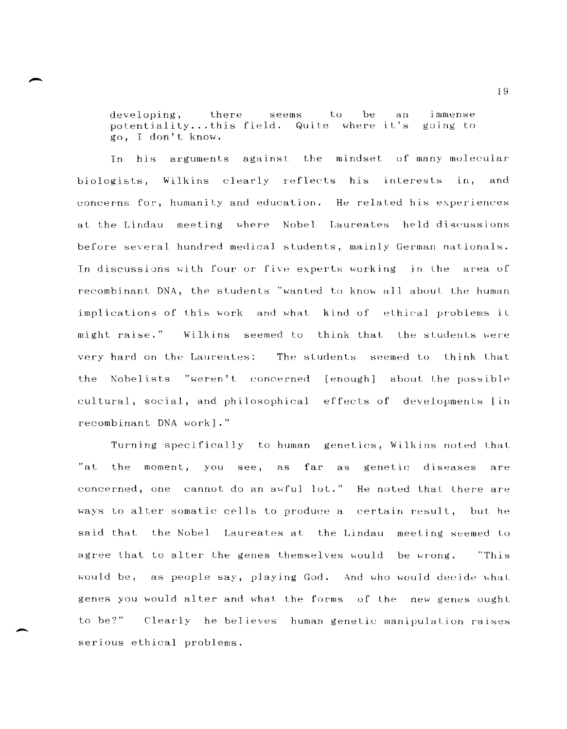be  $developing,$ there seems  $t_{0}$  $an$ immense potentiality...this field. Quite where it's going to go, I don't know.

his arguments against the mindset of many molecular In. biologists, Wilkins clearly reflects his interests in, and concerns for, humanity and education. He related his experiences at the Lindau meeting where Nobel Laureates held discussions before several hundred medical students, mainly German nationals. In discussions with four or five experts working in the area of recombinant DNA, the students "wanted to know all about the human implications of this work and what kind of ethical problems it Wilkins seemed to think that the students were might raise." very hard on the Laureates: The students seemed to think that the Nobelists "weren't concerned [enough] about the possible cultural, social, and philosophical effects of developments [in recombinant DNA work]."

Turning specifically to human genetics, Wilkins noted that  $"at.$ the moment, you see, as far as genetic diseases are concerned, one cannot do an awful lot." He noted that there are ways to alter somatic cells to produce a certain result, but he said that the Nobel Laureates at the Lindau meeting seemed to agree that to alter the genes themselves would be wrong. "This would be, as people say, playing God. And who would decide what genes you would alter and what the forms of the new genes ought to be?" Clearly he believes human genetic manipulation raises serious ethical problems.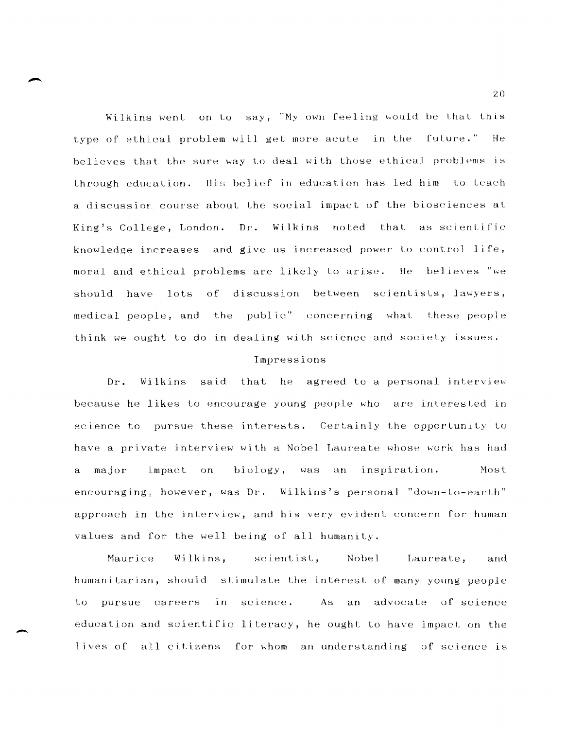Wilkins went on to say, "My own feeling would be that this type of ethical problem will get more acute in the future." He believes that the sure way to deal with those ethical problems is through education. His belief in education has led him to teach a discussion course about the social impact of the biosciences at Dr. Wilkins noted that as scientific King's College, London. knowledge increases and give us increased power to control life, moral and ethical problems are likely to arise. He believes "we have lots of discussion between scientists, lawyers, should medical people, and the public" concerning what these people think we ought to do in dealing with science and society issues.

#### Impressions

he agreed to a personal interview Dr. Wilkins said that because he likes to encourage young people who are interested in science to pursue these interests. Certainly the opportunity to have a private interview with a Nobel Laureate whose work has had impact on biology, was an inspiration. Most a major encouraging, however, was Dr. Wilkins's personal "down-to-earth" approach in the interview, and his very evident concern for human values and for the well being of all humanity.

Maurice Wilkins. scientist, Nobel Laureate, and humanitarian, should stimulate the interest of many young people pursue careers  $in$ science.  $As$ an advocate of science  $t_{0}$ education and scientific literacy, he ought to have impact on the lives of all citizens for whom an understanding of science is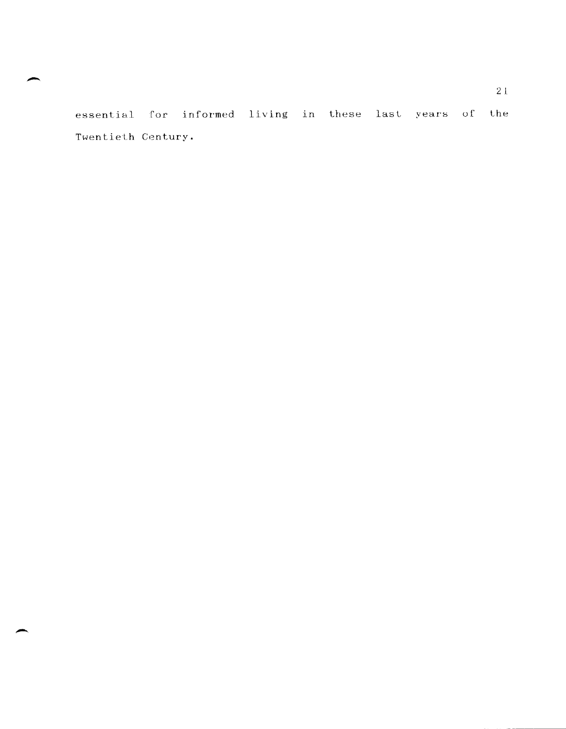essential for informed living in these last years of the Twentieth Century.

 $\overline{\phantom{a}}$